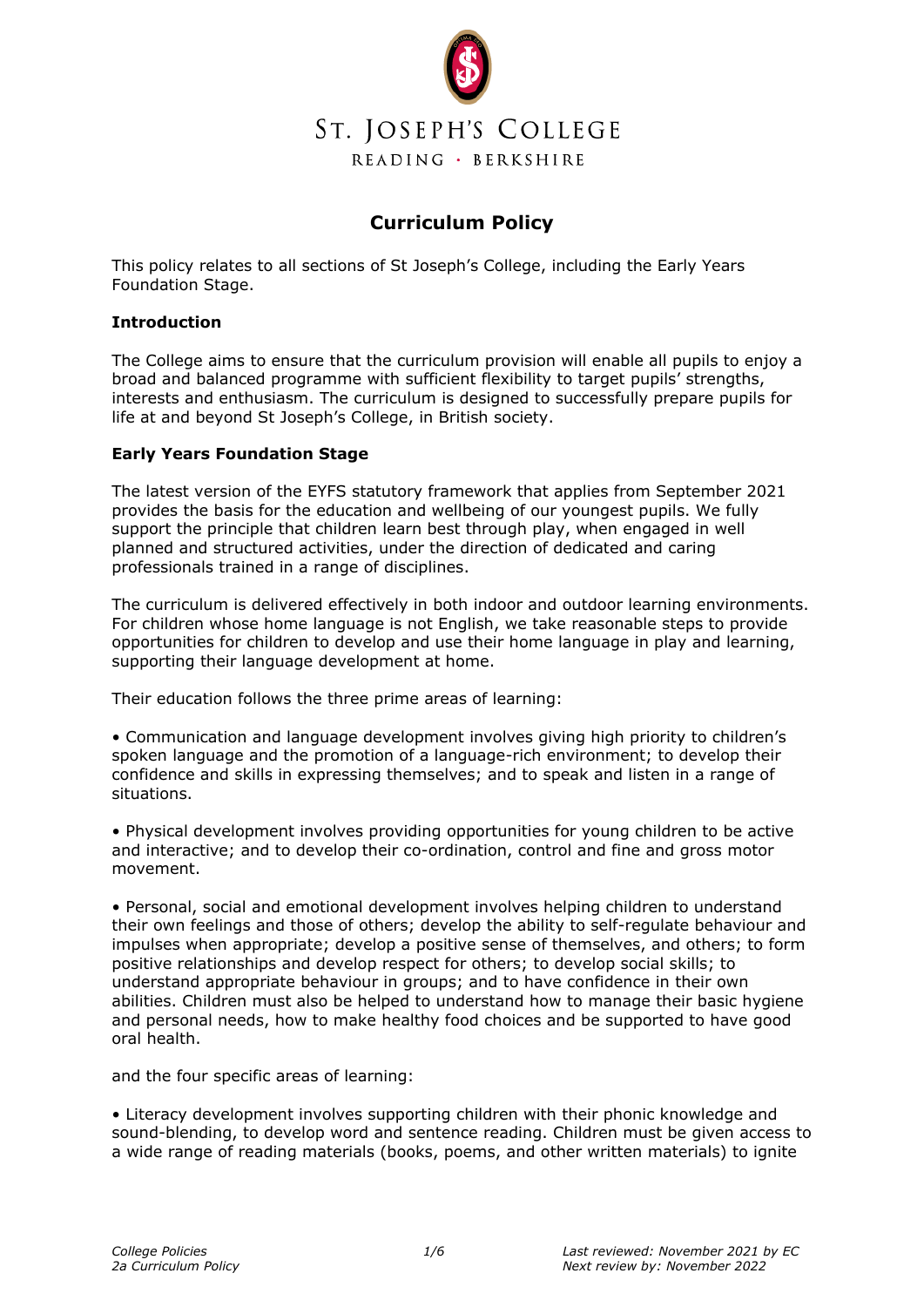

# **Curriculum Policy**

This policy relates to all sections of St Joseph's College, including the Early Years Foundation Stage.

# **Introduction**

The College aims to ensure that the curriculum provision will enable all pupils to enjoy a broad and balanced programme with sufficient flexibility to target pupils' strengths, interests and enthusiasm. The curriculum is designed to successfully prepare pupils for life at and beyond St Joseph's College, in British society.

# **Early Years Foundation Stage**

The latest version of the EYFS statutory framework that applies from September 2021 provides the basis for the education and wellbeing of our youngest pupils. We fully support the principle that children learn best through play, when engaged in well planned and structured activities, under the direction of dedicated and caring professionals trained in a range of disciplines.

The curriculum is delivered effectively in both indoor and outdoor learning environments. For children whose home language is not English, we take reasonable steps to provide opportunities for children to develop and use their home language in play and learning, supporting their language development at home.

Their education follows the three prime areas of learning:

• Communication and language development involves giving high priority to children's spoken language and the promotion of a language-rich environment; to develop their confidence and skills in expressing themselves; and to speak and listen in a range of situations.

• Physical development involves providing opportunities for young children to be active and interactive; and to develop their co-ordination, control and fine and gross motor movement.

• Personal, social and emotional development involves helping children to understand their own feelings and those of others; develop the ability to self-regulate behaviour and impulses when appropriate; develop a positive sense of themselves, and others; to form positive relationships and develop respect for others; to develop social skills; to understand appropriate behaviour in groups; and to have confidence in their own abilities. Children must also be helped to understand how to manage their basic hygiene and personal needs, how to make healthy food choices and be supported to have good oral health.

and the four specific areas of learning:

• Literacy development involves supporting children with their phonic knowledge and sound-blending, to develop word and sentence reading. Children must be given access to a wide range of reading materials (books, poems, and other written materials) to ignite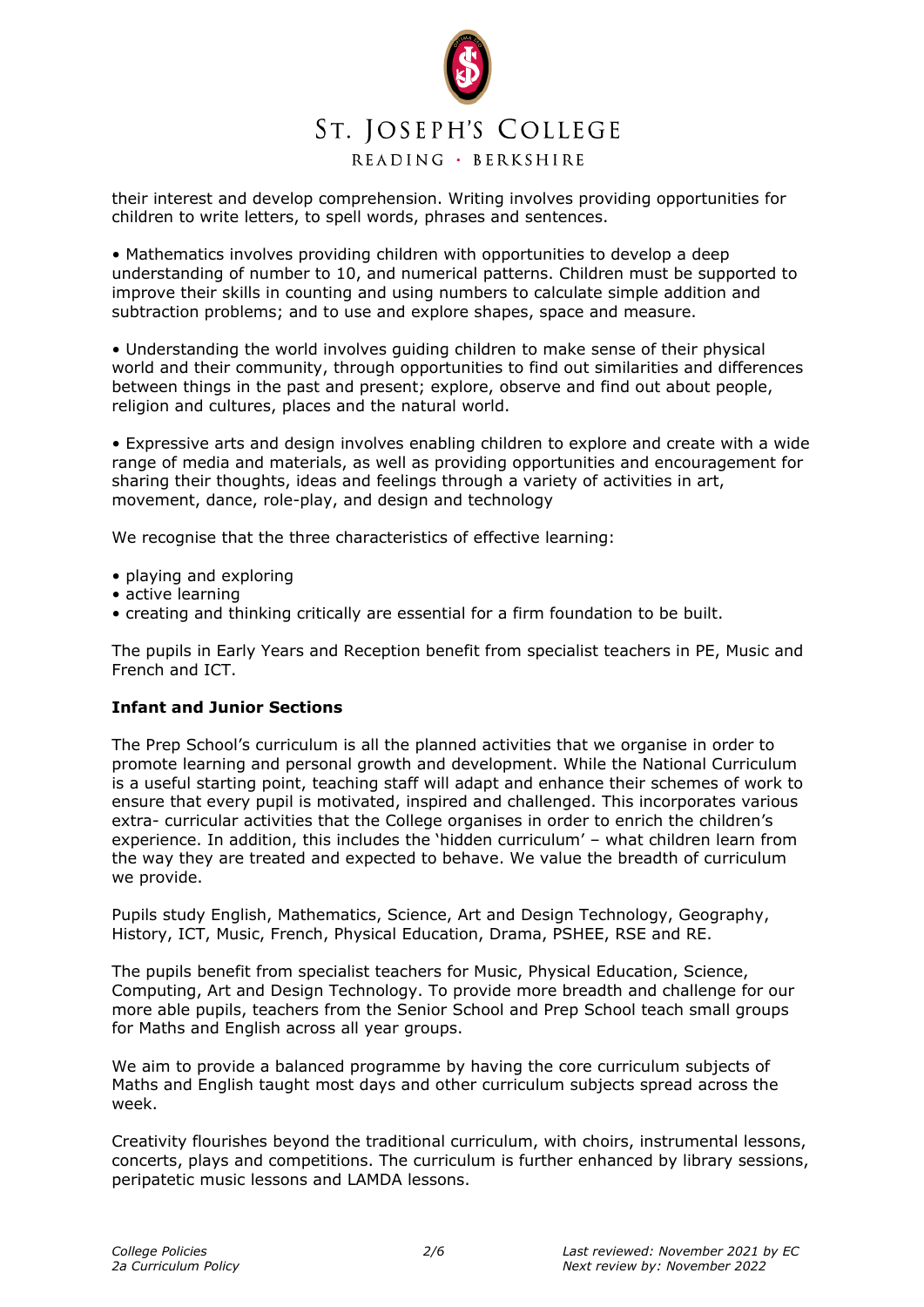# ST. JOSEPH'S COLLEGE

# READING · BERKSHIRE

their interest and develop comprehension. Writing involves providing opportunities for children to write letters, to spell words, phrases and sentences.

• Mathematics involves providing children with opportunities to develop a deep understanding of number to 10, and numerical patterns. Children must be supported to improve their skills in counting and using numbers to calculate simple addition and subtraction problems; and to use and explore shapes, space and measure.

• Understanding the world involves guiding children to make sense of their physical world and their community, through opportunities to find out similarities and differences between things in the past and present; explore, observe and find out about people, religion and cultures, places and the natural world.

• Expressive arts and design involves enabling children to explore and create with a wide range of media and materials, as well as providing opportunities and encouragement for sharing their thoughts, ideas and feelings through a variety of activities in art, movement, dance, role-play, and design and technology

We recognise that the three characteristics of effective learning:

- playing and exploring
- active learning
- creating and thinking critically are essential for a firm foundation to be built.

The pupils in Early Years and Reception benefit from specialist teachers in PE, Music and French and ICT.

# **Infant and Junior Sections**

The Prep School's curriculum is all the planned activities that we organise in order to promote learning and personal growth and development. While the National Curriculum is a useful starting point, teaching staff will adapt and enhance their schemes of work to ensure that every pupil is motivated, inspired and challenged. This incorporates various extra- curricular activities that the College organises in order to enrich the children's experience. In addition, this includes the 'hidden curriculum' – what children learn from the way they are treated and expected to behave. We value the breadth of curriculum we provide.

Pupils study English, Mathematics, Science, Art and Design Technology, Geography, History, ICT, Music, French, Physical Education, Drama, PSHEE, RSE and RE.

The pupils benefit from specialist teachers for Music, Physical Education, Science, Computing, Art and Design Technology. To provide more breadth and challenge for our more able pupils, teachers from the Senior School and Prep School teach small groups for Maths and English across all year groups.

We aim to provide a balanced programme by having the core curriculum subjects of Maths and English taught most days and other curriculum subjects spread across the week.

Creativity flourishes beyond the traditional curriculum, with choirs, instrumental lessons, concerts, plays and competitions. The curriculum is further enhanced by library sessions, peripatetic music lessons and LAMDA lessons.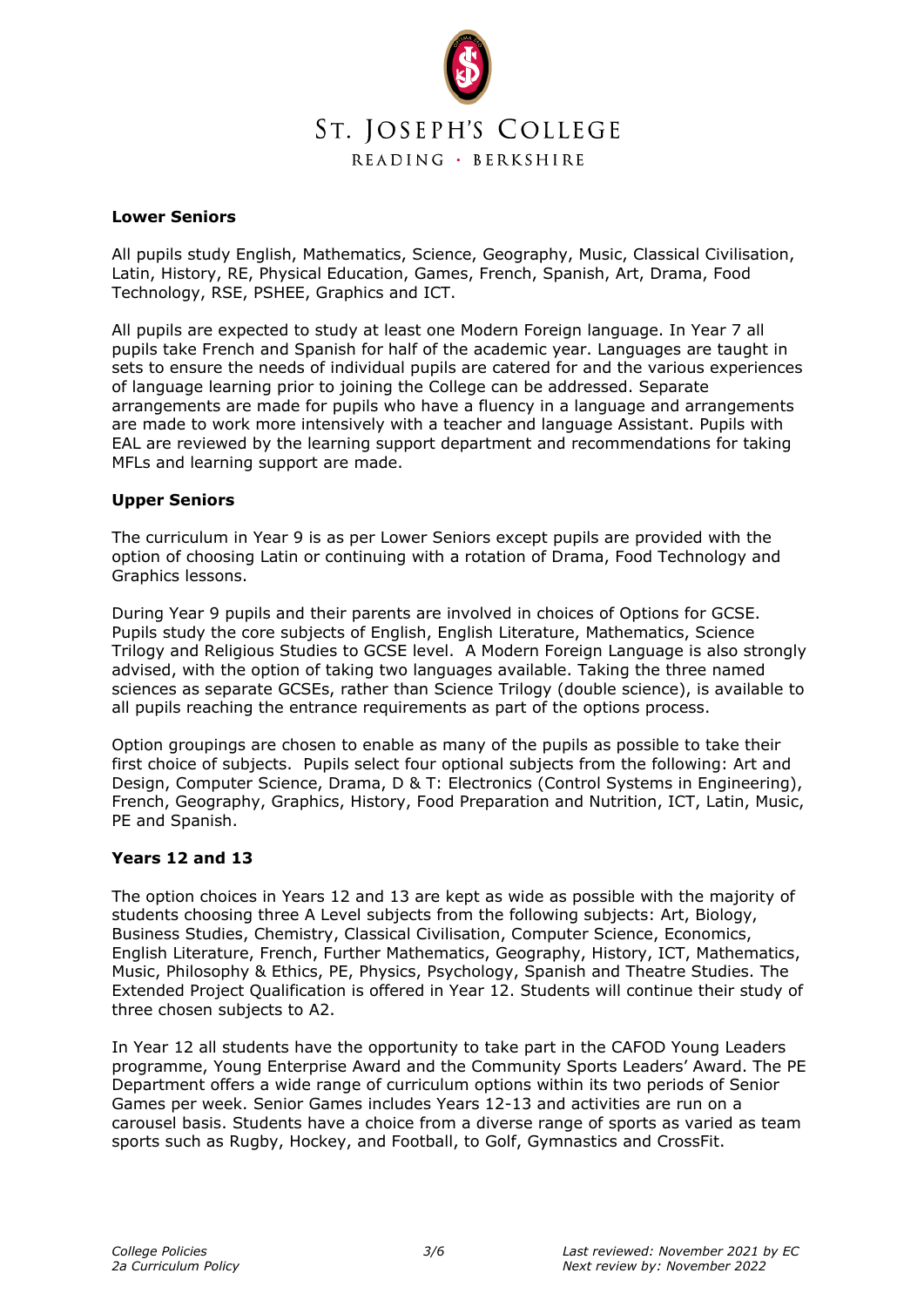

#### **Lower Seniors**

All pupils study English, Mathematics, Science, Geography, Music, Classical Civilisation, Latin, History, RE, Physical Education, Games, French, Spanish, Art, Drama, Food Technology, RSE, PSHEE, Graphics and ICT.

All pupils are expected to study at least one Modern Foreign language. In Year 7 all pupils take French and Spanish for half of the academic year. Languages are taught in sets to ensure the needs of individual pupils are catered for and the various experiences of language learning prior to joining the College can be addressed. Separate arrangements are made for pupils who have a fluency in a language and arrangements are made to work more intensively with a teacher and language Assistant. Pupils with EAL are reviewed by the learning support department and recommendations for taking MFLs and learning support are made.

#### **Upper Seniors**

The curriculum in Year 9 is as per Lower Seniors except pupils are provided with the option of choosing Latin or continuing with a rotation of Drama, Food Technology and Graphics lessons.

During Year 9 pupils and their parents are involved in choices of Options for GCSE. Pupils study the core subjects of English, English Literature, Mathematics, Science Trilogy and Religious Studies to GCSE level. A Modern Foreign Language is also strongly advised, with the option of taking two languages available. Taking the three named sciences as separate GCSEs, rather than Science Trilogy (double science), is available to all pupils reaching the entrance requirements as part of the options process.

Option groupings are chosen to enable as many of the pupils as possible to take their first choice of subjects. Pupils select four optional subjects from the following: Art and Design, Computer Science, Drama, D & T: Electronics (Control Systems in Engineering), French, Geography, Graphics, History, Food Preparation and Nutrition, ICT, Latin, Music, PE and Spanish.

## **Years 12 and 13**

The option choices in Years 12 and 13 are kept as wide as possible with the majority of students choosing three A Level subjects from the following subjects: Art, Biology, Business Studies, Chemistry, Classical Civilisation, Computer Science, Economics, English Literature, French, Further Mathematics, Geography, History, ICT, Mathematics, Music, Philosophy & Ethics, PE, Physics, Psychology, Spanish and Theatre Studies. The Extended Project Qualification is offered in Year 12. Students will continue their study of three chosen subjects to A2.

In Year 12 all students have the opportunity to take part in the CAFOD Young Leaders programme, Young Enterprise Award and the Community Sports Leaders' Award. The PE Department offers a wide range of curriculum options within its two periods of Senior Games per week. Senior Games includes Years 12-13 and activities are run on a carousel basis. Students have a choice from a diverse range of sports as varied as team sports such as Rugby, Hockey, and Football, to Golf, Gymnastics and CrossFit.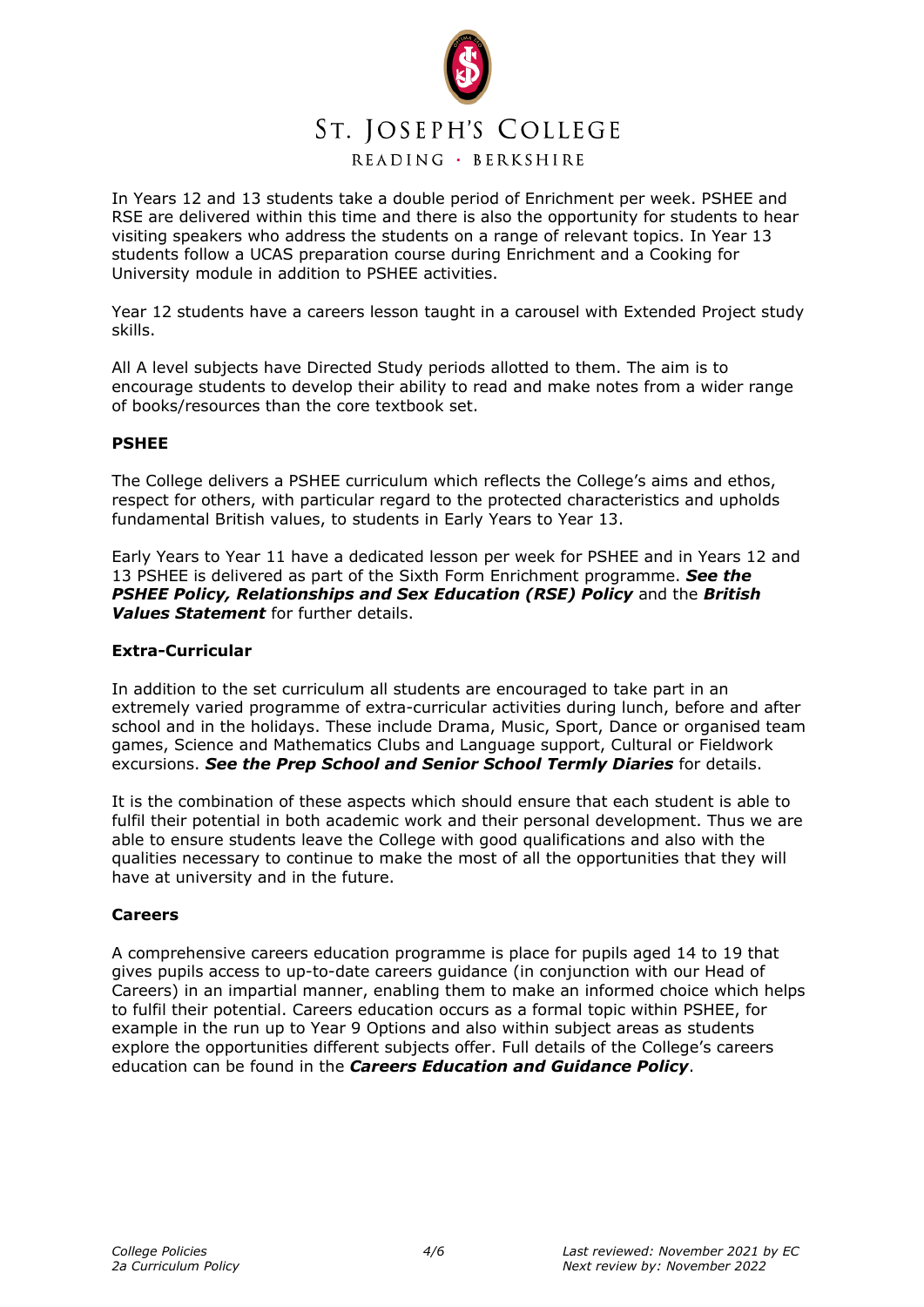

READING · BERKSHIRE

In Years 12 and 13 students take a double period of Enrichment per week. PSHEE and RSE are delivered within this time and there is also the opportunity for students to hear visiting speakers who address the students on a range of relevant topics. In Year 13 students follow a UCAS preparation course during Enrichment and a Cooking for University module in addition to PSHEE activities.

Year 12 students have a careers lesson taught in a carousel with Extended Project study skills.

All A level subjects have Directed Study periods allotted to them. The aim is to encourage students to develop their ability to read and make notes from a wider range of books/resources than the core textbook set.

# **PSHEE**

The College delivers a PSHEE curriculum which reflects the College's aims and ethos, respect for others, with particular regard to the protected characteristics and upholds fundamental British values, to students in Early Years to Year 13.

Early Years to Year 11 have a dedicated lesson per week for PSHEE and in Years 12 and 13 PSHEE is delivered as part of the Sixth Form Enrichment programme. *See the PSHEE Policy, Relationships and Sex Education (RSE) Policy* and the *British Values Statement* for further details.

# **Extra-Curricular**

In addition to the set curriculum all students are encouraged to take part in an extremely varied programme of extra-curricular activities during lunch, before and after school and in the holidays. These include Drama, Music, Sport, Dance or organised team games, Science and Mathematics Clubs and Language support, Cultural or Fieldwork excursions. *See the Prep School and Senior School Termly Diaries* for details.

It is the combination of these aspects which should ensure that each student is able to fulfil their potential in both academic work and their personal development. Thus we are able to ensure students leave the College with good qualifications and also with the qualities necessary to continue to make the most of all the opportunities that they will have at university and in the future.

## **Careers**

A comprehensive careers education programme is place for pupils aged 14 to 19 that gives pupils access to up-to-date careers guidance (in conjunction with our Head of Careers) in an impartial manner, enabling them to make an informed choice which helps to fulfil their potential. Careers education occurs as a formal topic within PSHEE, for example in the run up to Year 9 Options and also within subject areas as students explore the opportunities different subjects offer. Full details of the College's careers education can be found in the *Careers Education and Guidance Policy*.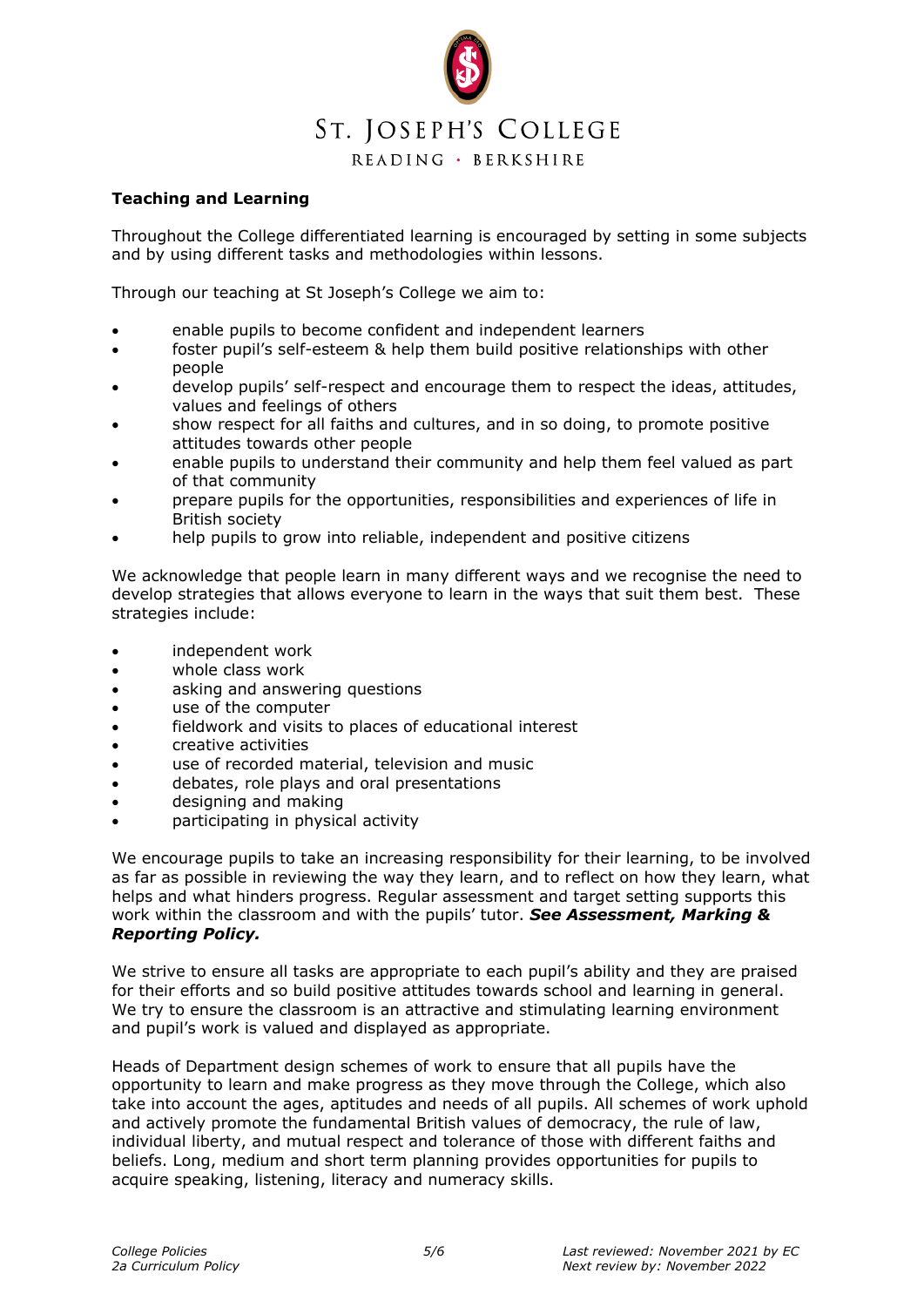

READING · BERKSHIRE

# **Teaching and Learning**

Throughout the College differentiated learning is encouraged by setting in some subjects and by using different tasks and methodologies within lessons.

Through our teaching at St Joseph's College we aim to:

- enable pupils to become confident and independent learners
- foster pupil's self-esteem & help them build positive relationships with other people
- develop pupils' self-respect and encourage them to respect the ideas, attitudes, values and feelings of others
- show respect for all faiths and cultures, and in so doing, to promote positive attitudes towards other people
- enable pupils to understand their community and help them feel valued as part of that community
- prepare pupils for the opportunities, responsibilities and experiences of life in British society
- help pupils to grow into reliable, independent and positive citizens

We acknowledge that people learn in many different ways and we recognise the need to develop strategies that allows everyone to learn in the ways that suit them best. These strategies include:

- independent work
- whole class work
- asking and answering questions
- use of the computer
- fieldwork and visits to places of educational interest
- creative activities
- use of recorded material, television and music
- debates, role plays and oral presentations
- designing and making
- participating in physical activity

We encourage pupils to take an increasing responsibility for their learning, to be involved as far as possible in reviewing the way they learn, and to reflect on how they learn, what helps and what hinders progress. Regular assessment and target setting supports this work within the classroom and with the pupils' tutor. *See Assessment, Marking & Reporting Policy.*

We strive to ensure all tasks are appropriate to each pupil's ability and they are praised for their efforts and so build positive attitudes towards school and learning in general. We try to ensure the classroom is an attractive and stimulating learning environment and pupil's work is valued and displayed as appropriate.

Heads of Department design schemes of work to ensure that all pupils have the opportunity to learn and make progress as they move through the College, which also take into account the ages, aptitudes and needs of all pupils. All schemes of work uphold and actively promote the fundamental British values of democracy, the rule of law, individual liberty, and mutual respect and tolerance of those with different faiths and beliefs. Long, medium and short term planning provides opportunities for pupils to acquire speaking, listening, literacy and numeracy skills.